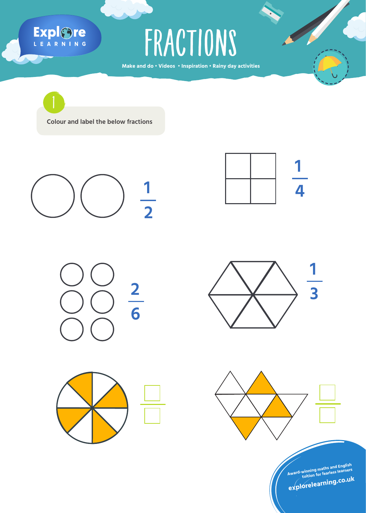## Explore

**Make and do • Videos • Inspiration • Rainy day activities** FRACTIONS

**Colour and label the below fractions**  1

**1 2**











**Award-winning maths and English tuition for fearless learners explorelearning.co.u<sup>k</sup>**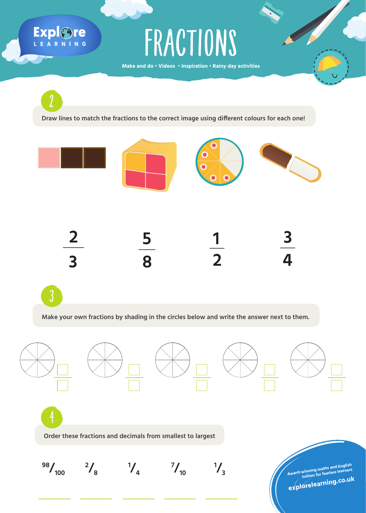